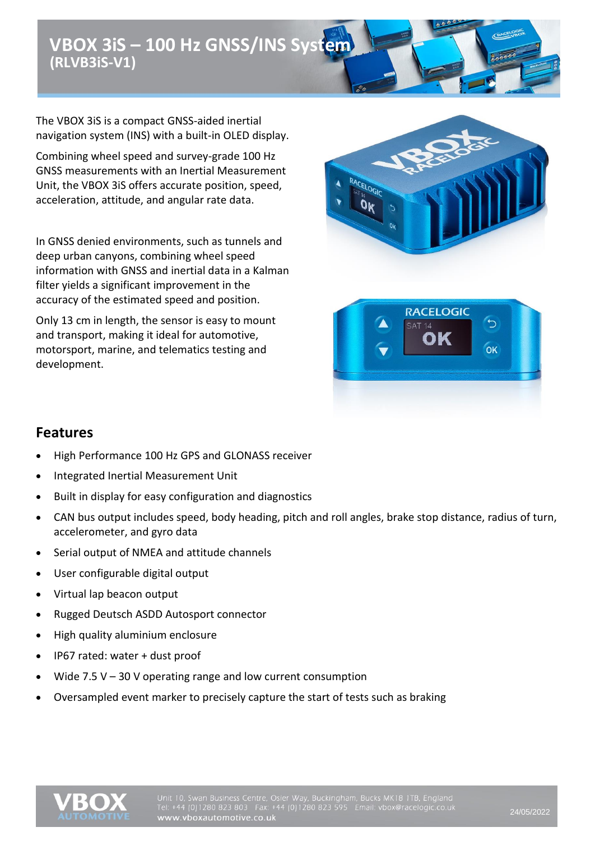# **VBOX 3iS – 100 Hz GNSS/INS System (RLVB3iS-V1)**

The VBOX 3iS is a compact GNSS-aided inertial navigation system (INS) with a built-in OLED display.

Combining wheel speed and survey-grade 100 Hz GNSS measurements with an Inertial Measurement Unit, the VBOX 3iS offers accurate position, speed, acceleration, attitude, and angular rate data.

In GNSS denied environments, such as tunnels and deep urban canyons, combining wheel speed information with GNSS and inertial data in a Kalman filter yields a significant improvement in the accuracy of the estimated speed and position.

Only 13 cm in length, the sensor is easy to mount and transport, making it ideal for automotive, motorsport, marine, and telematics testing and development.





### **Features**

- High Performance 100 Hz GPS and GLONASS receiver
- Integrated Inertial Measurement Unit
- Built in display for easy configuration and diagnostics
- CAN bus output includes speed, body heading, pitch and roll angles, brake stop distance, radius of turn, accelerometer, and gyro data
- Serial output of NMEA and attitude channels
- User configurable digital output
- Virtual lap beacon output
- Rugged Deutsch ASDD Autosport connector
- High quality aluminium enclosure
- IP67 rated: water + dust proof
- Wide  $7.5$  V 30 V operating range and low current consumption
- Oversampled event marker to precisely capture the start of tests such as braking

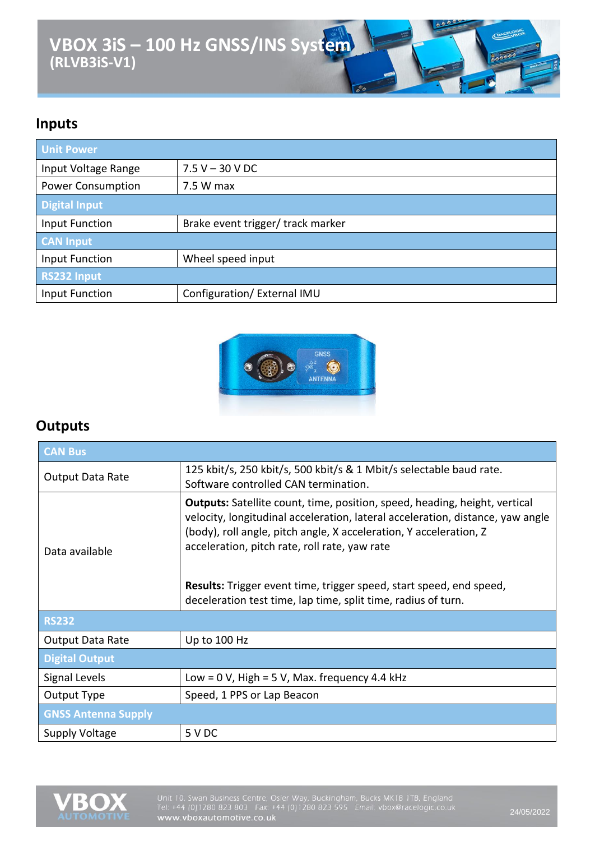# **VBOX 3iS – 100 Hz GNSS/INS System**  $\overline{\overset{0}{\circ}}$ **(RLVB3iS-V1)**

### **Inputs**

| <b>Unit Power</b>        |                                   |
|--------------------------|-----------------------------------|
| Input Voltage Range      | $7.5 V - 30 V DC$                 |
| <b>Power Consumption</b> | 7.5 W max                         |
| Digital Input            |                                   |
| Input Function           | Brake event trigger/ track marker |
| <b>CAN Input</b>         |                                   |
| Input Function           | Wheel speed input                 |
| <b>RS232 Input</b>       |                                   |
| Input Function           | Configuration/ External IMU       |



### **Outputs**

| <b>CAN Bus</b>             |                                                                                                                                                                                                                                                                                                                                                                                                                                           |  |
|----------------------------|-------------------------------------------------------------------------------------------------------------------------------------------------------------------------------------------------------------------------------------------------------------------------------------------------------------------------------------------------------------------------------------------------------------------------------------------|--|
| <b>Output Data Rate</b>    | 125 kbit/s, 250 kbit/s, 500 kbit/s & 1 Mbit/s selectable baud rate.<br>Software controlled CAN termination.                                                                                                                                                                                                                                                                                                                               |  |
| Data available             | <b>Outputs:</b> Satellite count, time, position, speed, heading, height, vertical<br>velocity, longitudinal acceleration, lateral acceleration, distance, yaw angle<br>(body), roll angle, pitch angle, X acceleration, Y acceleration, Z<br>acceleration, pitch rate, roll rate, yaw rate<br><b>Results:</b> Trigger event time, trigger speed, start speed, end speed,<br>deceleration test time, lap time, split time, radius of turn. |  |
| <b>RS232</b>               |                                                                                                                                                                                                                                                                                                                                                                                                                                           |  |
| Output Data Rate           | Up to 100 Hz                                                                                                                                                                                                                                                                                                                                                                                                                              |  |
| <b>Digital Output</b>      |                                                                                                                                                                                                                                                                                                                                                                                                                                           |  |
| Signal Levels              | Low = $0$ V, High = $5$ V, Max. frequency 4.4 kHz                                                                                                                                                                                                                                                                                                                                                                                         |  |
| Output Type                | Speed, 1 PPS or Lap Beacon                                                                                                                                                                                                                                                                                                                                                                                                                |  |
| <b>GNSS Antenna Supply</b> |                                                                                                                                                                                                                                                                                                                                                                                                                                           |  |
| Supply Voltage             | 5 V DC                                                                                                                                                                                                                                                                                                                                                                                                                                    |  |



Unit 10, Swan Business Centre, Osier Way, Buckingham, Bucks MK18 1TB, England Tel: +44 (0)1280 823 803 Fax: +44 (0)1280 823 595 Email: vbox@racelogic.co.uk<br>WWW.vboxautomotive.co.uk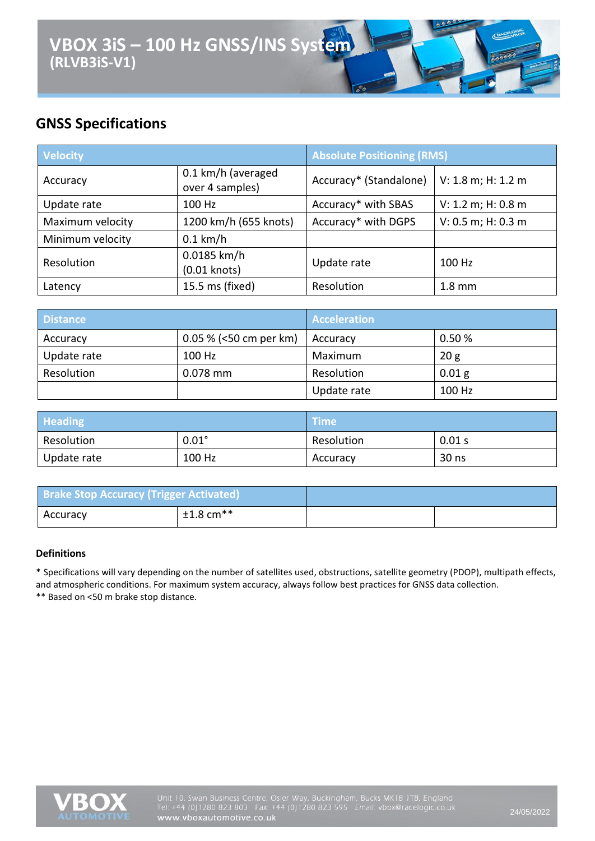### **GNSS Specifications**

| <b>Velocity</b>  |                                       | <b>Absolute Positioning (RMS)</b> |                    |
|------------------|---------------------------------------|-----------------------------------|--------------------|
| Accuracy         | 0.1 km/h (averaged<br>over 4 samples) | Accuracy* (Standalone)            | V: 1.8 m; H: 1.2 m |
| Update rate      | 100 Hz                                | Accuracy* with SBAS               | V: 1.2 m; H: 0.8 m |
| Maximum velocity | 1200 km/h (655 knots)                 | Accuracy* with DGPS               | V: 0.5 m; H: 0.3 m |
| Minimum velocity | $0.1$ km/h                            |                                   |                    |
| Resolution       | 0.0185 km/h<br>$(0.01$ knots)         | Update rate                       | 100 Hz             |
| Latency          | 15.5 ms (fixed)                       | Resolution                        | $1.8 \text{ mm}$   |

| <b>Distance</b> |                          | <b>Acceleration</b> |        |
|-----------------|--------------------------|---------------------|--------|
| Accuracy        | $0.05\%$ (<50 cm per km) | Accuracy            | 0.50%  |
| Update rate     | 100 Hz                   | Maximum             | 20g    |
| Resolution      | $0.078$ mm               | Resolution          | 0.01 g |
|                 |                          | Update rate         | 100 Hz |

| <b>Heading</b> |              | <b>Time</b> |        |
|----------------|--------------|-------------|--------|
| Resolution     | $0.01^\circ$ | Resolution  | 0.01 s |
| Update rate    | 100 Hz       | Accuracy    | 30 ns  |

| <b>Brake Stop Accuracy (Trigger Activated)</b> |                         |  |
|------------------------------------------------|-------------------------|--|
| <b>Accuracy</b>                                | $±1.8$ cm <sup>**</sup> |  |

#### **Definitions**

\* Specifications will vary depending on the number of satellites used, obstructions, satellite geometry (PDOP), multipath effects, and atmospheric conditions. For maximum system accuracy, always follow best practices for GNSS data collection. \*\* Based on <50 m brake stop distance.

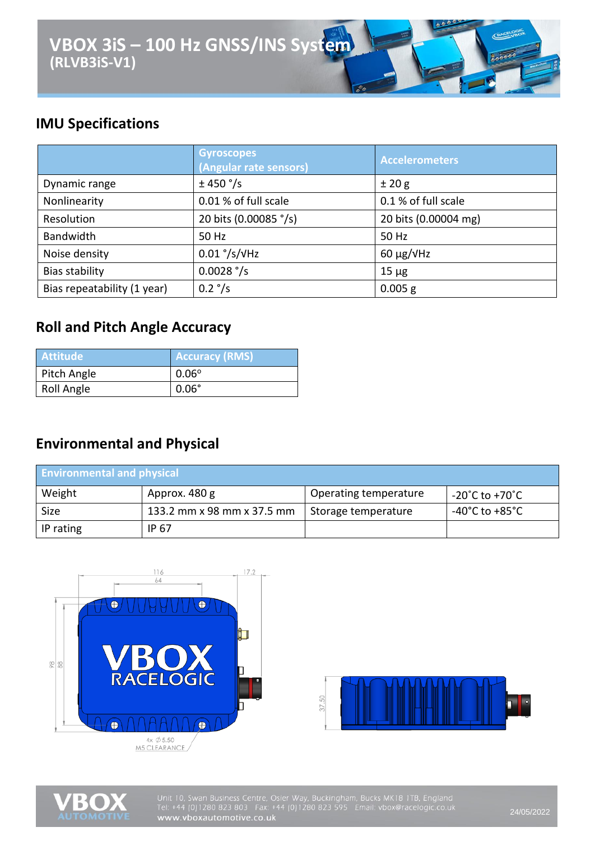

## **IMU Specifications**

|                             | <b>Gyroscopes</b><br>(Angular rate sensors) | <b>Accelerometers</b> |
|-----------------------------|---------------------------------------------|-----------------------|
| Dynamic range               | ± 450 °/s                                   | ±20g                  |
| Nonlinearity                | 0.01 % of full scale                        | 0.1 % of full scale   |
| Resolution                  | 20 bits (0.00085 °/s)                       | 20 bits (0.00004 mg)  |
| <b>Bandwidth</b>            | 50 Hz                                       | 50 Hz                 |
| Noise density               | $0.01$ °/s/ $V$ Hz                          | $60 \mu g/V$ Hz       |
| Bias stability              | $0.0028$ $\degree$ /s                       | $15 \mu g$            |
| Bias repeatability (1 year) | $0.2 \degree$ /s                            | $0.005$ g             |

## **Roll and Pitch Angle Accuracy**

| <b>Attitude</b> | <b>Accuracy (RMS)</b> |
|-----------------|-----------------------|
| Pitch Angle     | $0.06^\circ$          |
| Roll Angle      | $0.06^\circ$          |

### **Environmental and Physical**

| <b>Environmental and physical</b> |                            |                       |                                      |
|-----------------------------------|----------------------------|-----------------------|--------------------------------------|
| Weight                            | Approx. 480 g              | Operating temperature | -20 $^{\circ}$ C to +70 $^{\circ}$ C |
| Size                              | 133.2 mm x 98 mm x 37.5 mm | Storage temperature   | -40°C to +85°C                       |
| IP rating                         | IP 67                      |                       |                                      |







Unit 10, Swan Business Centre, Osier Way, Buckingham, Bucks MK18 1TB, England<br>Tel: +44 (0)1280 823 803 Fax: +44 (0)1280 823 595 Email: vbox@racelogic.co.uk<br>www.vboxautomotive.co.uk